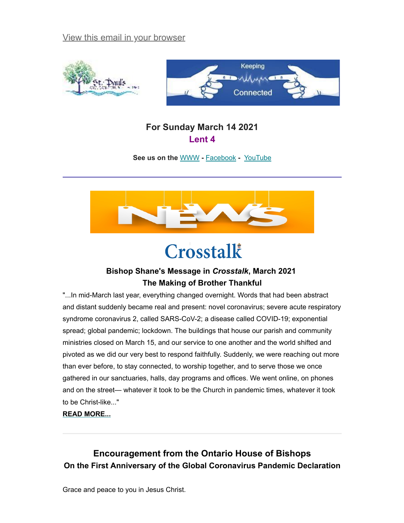[View this email in your browser](https://mailchi.mp/3079d975f958/keeping-connected-for-sunday-march-14-2021?e=[UNIQID])





## **For Sunday March 14 2021 Lent 4**

**See us on the** [WWW](http://www.stpaulsalmonte.ca/) **-** [Facebook](https://www.facebook.com/stpaulsalmonte) **-** [YouTube](https://www.youtube.com/channel/UCGNiLkYlItj-ClMRRp94rFA)



# Crosstalk

### **Bishop Shane's Message in** *Crosstalk***, March 2021 The Making of Brother Thankful**

"...In mid-March last year, everything changed overnight. Words that had been abstract and distant suddenly became real and present: novel coronavirus; severe acute respiratory syndrome coronavirus 2, called SARS-CoV-2; a disease called COVID-19; exponential spread; global pandemic; lockdown. The buildings that house our parish and community ministries closed on March 15, and our service to one another and the world shifted and pivoted as we did our very best to respond faithfully. Suddenly, we were reaching out more than ever before, to stay connected, to worship together, and to serve those we once gathered in our sanctuaries, halls, day programs and offices. We went online, on phones and on the street— whatever it took to be the Church in pandemic times, whatever it took to be Christ-like..."

#### **[READ MORE...](https://www.ottawa.anglican.ca/images//Crosstalk/Bishop-s__Message_March_2021.pdf)**

# **Encouragement from the Ontario House of Bishops On the First Anniversary of the Global Coronavirus Pandemic Declaration**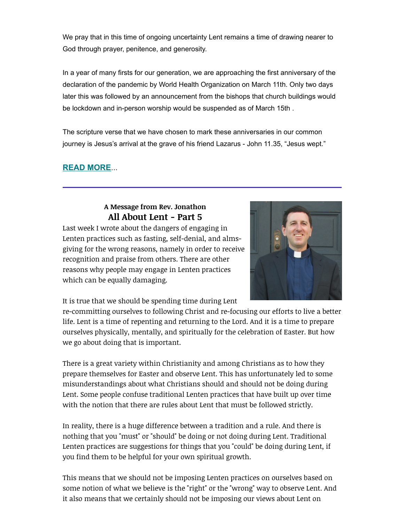We pray that in this time of ongoing uncertainty Lent remains a time of drawing nearer to God through prayer, penitence, and generosity.

In a year of many firsts for our generation, we are approaching the first anniversary of the declaration of the pandemic by World Health Organization on March 11th. Only two days later this was followed by an announcement from the bishops that church buildings would be lockdown and in-person worship would be suspended as of March 15th .

The scripture verse that we have chosen to mark these anniversaries in our common journey is Jesus's arrival at the grave of his friend Lazarus - John 11.35, "Jesus wept."

#### **[READ MORE](https://www.dioceseofalgoma.com/wp-content/uploads/2021/03/Ontario-House-of-Bishops-Pastoral-Letter-March-2021.pdf)**...

#### **A Message from Rev. Jonathon All About Lent - Part 5**

Last week I wrote about the dangers of engaging in Lenten practices such as fasting, self-denial, and almsgiving for the wrong reasons, namely in order to receive recognition and praise from others. There are other reasons why people may engage in Lenten practices which can be equally damaging.



It is true that we should be spending time during Lent

re-committing ourselves to following Christ and re-focusing our efforts to live a better life. Lent is a time of repenting and returning to the Lord. And it is a time to prepare ourselves physically, mentally, and spiritually for the celebration of Easter. But how we go about doing that is important.

There is a great variety within Christianity and among Christians as to how they prepare themselves for Easter and observe Lent. This has unfortunately led to some misunderstandings about what Christians should and should not be doing during Lent. Some people confuse traditional Lenten practices that have built up over time with the notion that there are rules about Lent that must be followed strictly.

In reality, there is a huge difference between a tradition and a rule. And there is nothing that you "must" or "should" be doing or not doing during Lent. Traditional Lenten practices are suggestions for things that you "could" be doing during Lent, if you find them to be helpful for your own spiritual growth.

This means that we should not be imposing Lenten practices on ourselves based on some notion of what we believe is the "right" or the "wrong" way to observe Lent. And it also means that we certainly should not be imposing our views about Lent on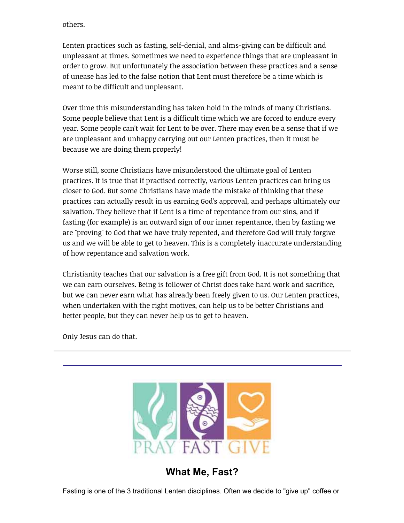others.

Lenten practices such as fasting, self-denial, and alms-giving can be difficult and unpleasant at times. Sometimes we need to experience things that are unpleasant in order to grow. But unfortunately the association between these practices and a sense of unease has led to the false notion that Lent must therefore be a time which is meant to be difficult and unpleasant.

Over time this misunderstanding has taken hold in the minds of many Christians. Some people believe that Lent is a difficult time which we are forced to endure every year. Some people can't wait for Lent to be over. There may even be a sense that if we are unpleasant and unhappy carrying out our Lenten practices, then it must be because we are doing them properly!

Worse still, some Christians have misunderstood the ultimate goal of Lenten practices. It is true that if practised correctly, various Lenten practices can bring us closer to God. But some Christians have made the mistake of thinking that these practices can actually result in us earning God's approval, and perhaps ultimately our salvation. They believe that if Lent is a time of repentance from our sins, and if fasting (for example) is an outward sign of our inner repentance, then by fasting we are "proving" to God that we have truly repented, and therefore God will truly forgive us and we will be able to get to heaven. This is a completely inaccurate understanding of how repentance and salvation work.

Christianity teaches that our salvation is a free gift from God. It is not something that we can earn ourselves. Being is follower of Christ does take hard work and sacrifice, but we can never earn what has already been freely given to us. Our Lenten practices, when undertaken with the right motives, can help us to be better Christians and better people, but they can never help us to get to heaven.

Only Jesus can do that.



**What Me, Fast?**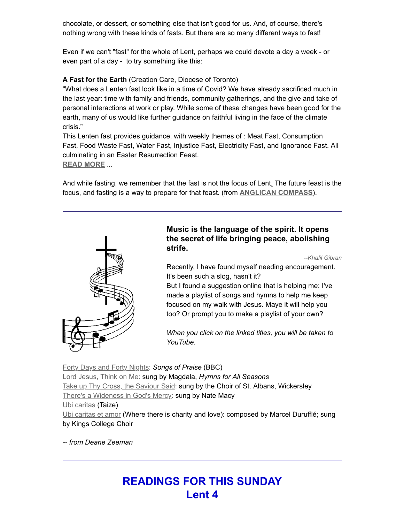chocolate, or dessert, or something else that isn't good for us. And, of course, there's nothing wrong with these kinds of fasts. But there are so many different ways to fast!

Even if we can't "fast" for the whole of Lent, perhaps we could devote a day a week - or even part of a day - to try something like this:

#### **A Fast for the Earth** (Creation Care, Diocese of Toronto)

"What does a Lenten fast look like in a time of Covid? We have already sacrificed much in the last year: time with family and friends, community gatherings, and the give and take of personal interactions at work or play. While some of these changes have been good for the earth, many of us would like further guidance on faithful living in the face of the climate crisis."

This Lenten fast provides guidance, with weekly themes of : Meat Fast, Consumption Fast, Food Waste Fast, Water Fast, Injustice Fast, Electricity Fast, and Ignorance Fast. All culminating in an Easter Resurrection Feast. **[READ MORE](https://www.toronto.anglican.ca/wp-content/uploads/2021/02/Lent-Fast-2021-2.pdf)** ...

And while fasting, we remember that the fast is not the focus of Lent<u>[.](https://anglicancompass.com/feastinlent/)</u> The future feast is the focus, and fasting is a way to prepare for that feast. (from **[ANGLICAN COMPASS](https://anglicancompass.com/why-lent-questions-for-an-anglican-priest/)**).



#### **Music is the language of the spirit. It opens the secret of life bringing peace, abolishing strife.**

*--Khalil Gibran*

Recently, I have found myself needing encouragement. It's been such a slog, hasn't it?

But I found a suggestion online that is helping me: I've made a playlist of songs and hymns to help me keep focused on my walk with Jesus. Maye it will help you too? Or prompt you to make a playlist of your own?

*When you click on the linked titles, you will be taken to YouTube.*

[Forty Days and Forty Nights:](https://youtu.be/m5Nq4YXlcX8) *Songs of Praise* (BBC) [Lord Jesus, Think on Me:](https://youtu.be/1FkrxfixNbw) sung by Magdala, *Hymns for All Seasons* [Take up Thy Cross, the Saviour Said](https://youtu.be/guWvR_6oPxo): sung by the Choir of St. Albans, Wickersley [There's a Wideness in God's Mercy](https://youtu.be/l5LN1ZvwWfs): sung by Nate Macy [Ubi caritas](https://www.youtube.com/watch?v=X9e_QO1ATho&list=PLAFC3BF61F242A1C6&index=2) (Taize) [Ubi caritas et amor](https://youtu.be/2-LQve92U1o) (Where there is charity and love): composed by Marcel Durufflé; sung by Kings College Choir

*-- from Deane Zeeman*

# **READINGS FOR THIS SUNDAY Lent 4**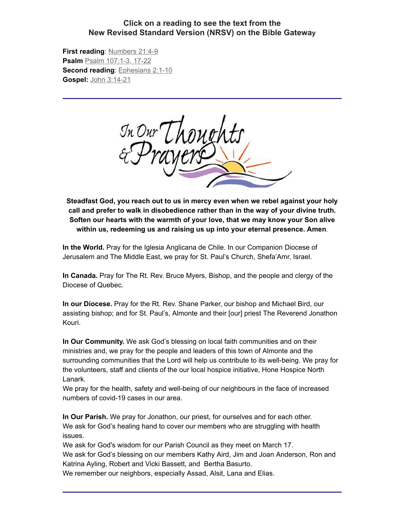#### **Click on a reading to see the text from the New Revised Standard Version (NRSV) on the Bible Gateway**

**First reading**: [Numbers 21:4-9](https://www.biblegateway.com/passage/?search=Numbers%2021:4-9&version=NRSV) **Psalm** [Psalm 107:1-3, 17-22](https://www.biblegateway.com/passage/?search=Psalm+107%3A1-3%2C+17-22&version=NRSV) **Second reading**: [Ephesians 2:1-10](https://www.biblegateway.com/passage/?search=Ephesians+2%3A1-10&version=NRSV) **Gospel:** [John 3:14-21](https://www.biblegateway.com/passage/?search=John+3%3A14-21&version=NRSV)



**Steadfast God, you reach out to us in mercy even when we rebel against your holy call and prefer to walk in disobedience rather than in the way of your divine truth. Soften our hearts with the warmth of your love, that we may know your Son alive within us, redeeming us and raising us up into your eternal presence. Amen.**

**In the World.** Pray for the Iglesia Anglicana de Chile. In our Companion Diocese of Jerusalem and The Middle East, we pray for St. Paul's Church, Shefa'Amr, Israel.

**In Canada.** Pray for The Rt. Rev. Bruce Myers, Bishop, and the people and clergy of the Diocese of Quebec.

**In our Diocese.** Pray for the Rt. Rev. Shane Parker, our bishop and Michael Bird, our assisting bishop; and for St. Paul's, Almonte and their [our] priest The Reverend Jonathon Kouri.

**In Our Community.** We ask God's blessing on local faith communities and on their ministries and, we pray for the people and leaders of this town of Almonte and the surrounding communities that the Lord will help us contribute to its well-being. We pray for the volunteers, staff and clients of the our local hospice initiative, Hone Hospice North Lanark.

We pray for the health, safety and well-being of our neighbours in the face of increased numbers of covid-19 cases in our area.

**In Our Parish.** We pray for Jonathon, our priest, for ourselves and for each other. We ask for God's healing hand to cover our members who are struggling with health issues.

We ask for God's wisdom for our Parish Council as they meet on March 17. We ask for God's blessing on our members Kathy Aird, Jim and Joan Anderson, Ron and Katrina Ayling, Robert and Vicki Bassett, and Bertha Basurto.

We remember our neighbors, especially Assad, Alsit, Lana and Elias.